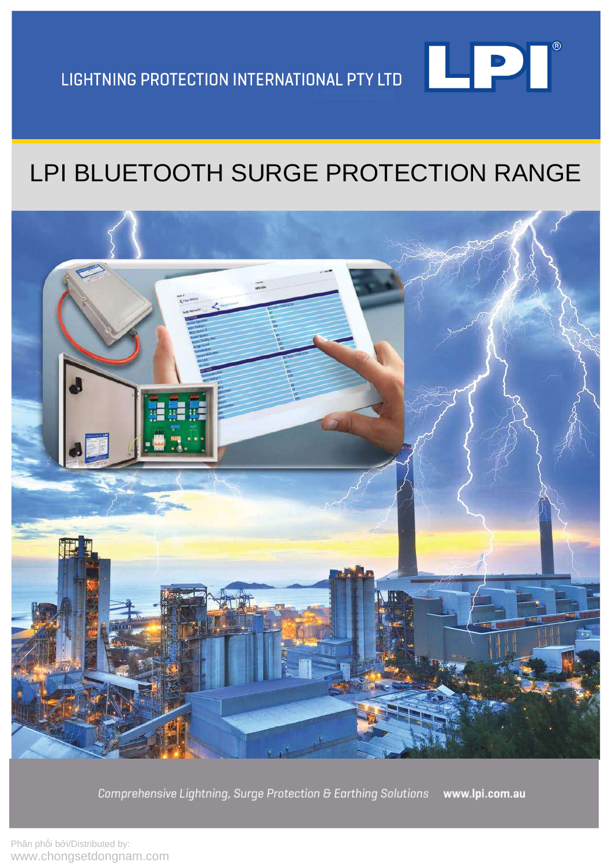

# LPI BLUETOOTH SURGE PROTECTION RANGE



Comprehensive Lightning, Surge Protection & Earthing Solutions www.lpi.com.au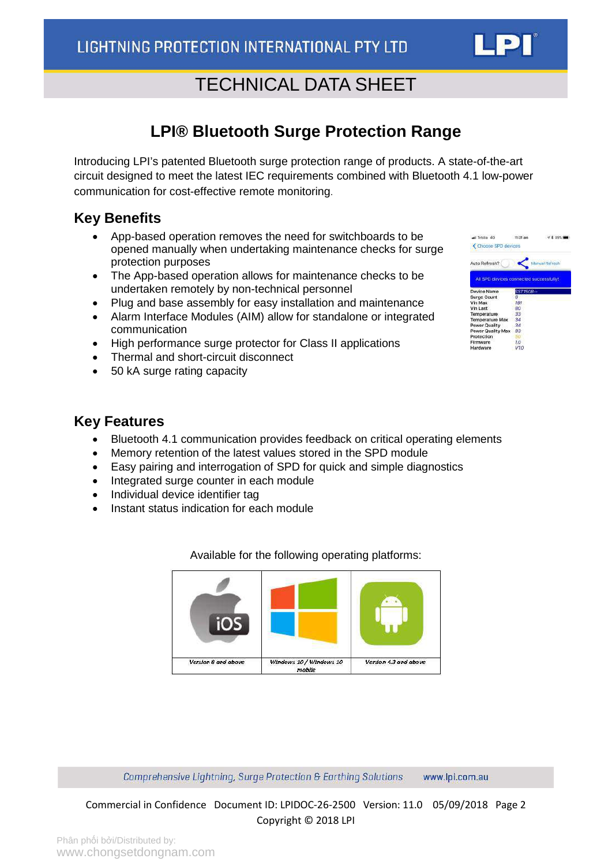### **LPI® Bluetooth Surge Protection Range**

<span id="page-1-0"></span>Introducing LPI's patented Bluetooth surge protection range of products. A state-of-the-art circuit designed to meet the latest IEC requirements combined with Bluetooth 4.1 low-power communication for cost-effective remote monitoring.

### **Key Benefits**

- App-based operation removes the need for switchboards to be opened manually when undertaking maintenance checks for surge protection purposes
- The App-based operation allows for maintenance checks to be undertaken remotely by non-technical personnel
- Plug and base assembly for easy installation and maintenance
- Alarm Interface Modules (AIM) allow for standalone or integrated communication
- High performance surge protector for Class II applications
- Thermal and short-circuit disconnect
- 50 kA surge rating capacity

### **Key Features**

- Bluetooth 4.1 communication provides feedback on critical operating elements
- Memory retention of the latest values stored in the SPD module
- Easy pairing and interrogation of SPD for quick and simple diagnostics
- Integrated surge counter in each module
- Individual device identifier tag
- Instant status indication for each module



Available for the following operating platforms:

Comprehensive Lightning, Surge Protection & Earthing Solutions www.lpi.com.au

Commercial in Confidence Document ID: LPIDOC-26-2500 Version: 11.0 05/09/2018 Page 2 Copyright © 2018 LPI

| et Telstra 4G<br>Choose SPD devices | 11:31 am<br>F \$ 89%                    |  |
|-------------------------------------|-----------------------------------------|--|
| Auto Refresh?                       | <b>Manual Refresh</b>                   |  |
|                                     | All SPD devices connected successfully! |  |
| <b>Device Name</b>                  | SST150B--                               |  |
| Surge Count                         | R                                       |  |
| Vin Max                             | 191                                     |  |
| Vin Last                            | 80                                      |  |
| Temperature                         | 33                                      |  |
| <b>Temperature Max</b>              | 34                                      |  |
| Power Quality                       | 34                                      |  |
| Power Quality Max                   | 83                                      |  |
| Protection                          |                                         |  |
| Firmware                            | 1.0                                     |  |
| University                          | 1/17                                    |  |

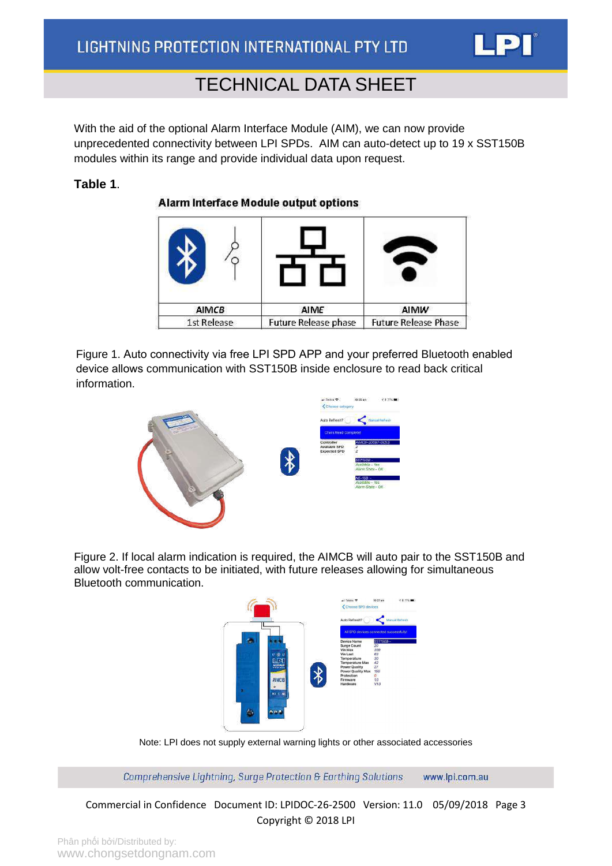

With the aid of the optional Alarm Interface Module (AIM), we can now provide unprecedented connectivity between LPI SPDs. AIM can auto-detect up to 19 x SST150B modules within its range and provide individual data upon request.

#### **Table 1**.

Alarm Interface Module output options

| <b>AIMCB</b> | AIME                        | AIMW                        |
|--------------|-----------------------------|-----------------------------|
| 1st Release  | <b>Future Release phase</b> | <b>Future Release Phase</b> |

Figure 1. Auto connectivity via free LPI SPD APP and your preferred Bluetooth enabled device allows communication with SST150B inside enclosure to read back critical information.



Figure 2. If local alarm indication is required, the AIMCB will auto pair to the SST150B and allow volt-free contacts to be initiated, with future releases allowing for simultaneous Bluetooth communication.



Note: LPI does not supply external warning lights or other associated accessories

Comprehensive Lightning, Surge Protection & Earthing Solutions www.lpi.com.au

Commercial in Confidence Document ID: LPIDOC-26-2500 Version: 11.0 05/09/2018 Page 3 Copyright © 2018 LPI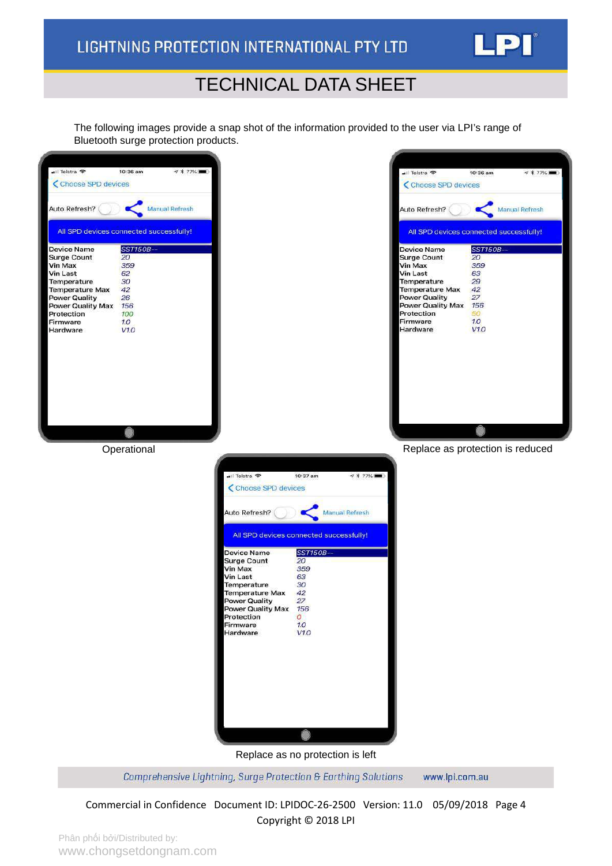

The following images provide a snap shot of the information provided to the user via LPI's range of Bluetooth surge protection products.



Comprehensive Lightning, Surge Protection & Earthing Solutions www.lpi.com.au

Commercial in Confidence Document ID: LPIDOC-26-2500 Version: 11.0 05/09/2018 Page 4 Copyright © 2018 LPI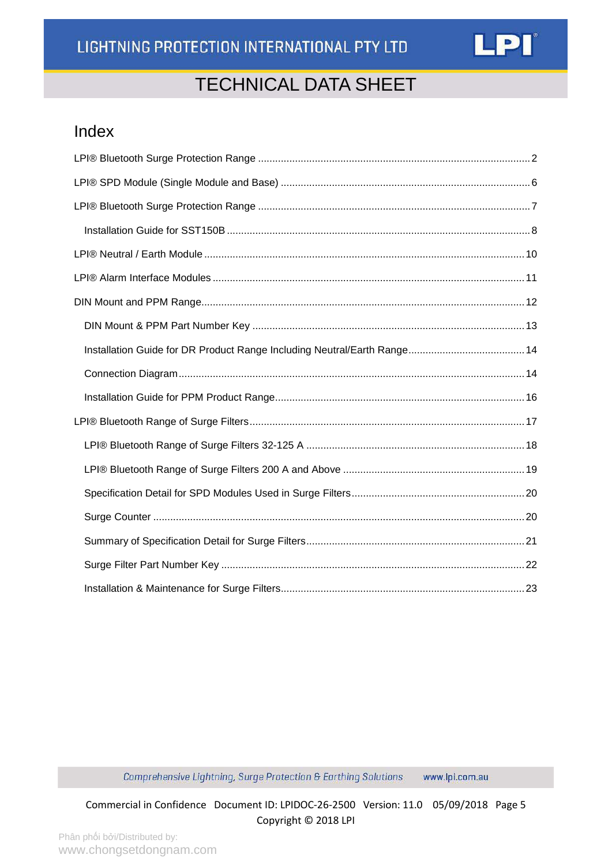

### Index

Comprehensive Lightning, Surge Protection & Earthing Solutions www.lpi.com.au

Commercial in Confidence Document ID: LPIDOC-26-2500 Version: 11.0 05/09/2018 Page 5 Copyright © 2018 LPI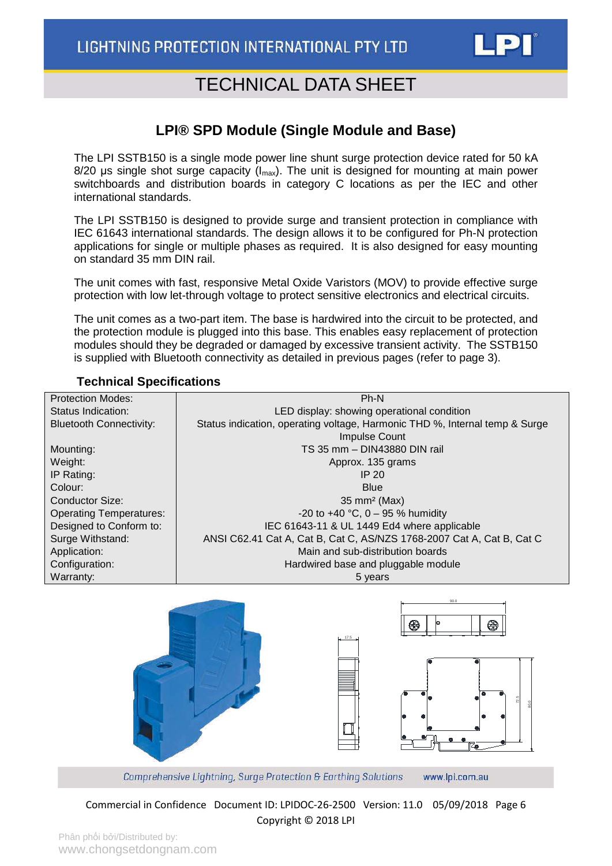

### **LPI® SPD Module (Single Module and Base)**

<span id="page-5-0"></span>The LPI SSTB150 is a single mode power line shunt surge protection device rated for 50 kA  $8/20$  µs single shot surge capacity ( $I_{\text{max}}$ ). The unit is designed for mounting at main power switchboards and distribution boards in category C locations as per the IEC and other international standards.

The LPI SSTB150 is designed to provide surge and transient protection in compliance with IEC 61643 international standards. The design allows it to be configured for Ph-N protection applications for single or multiple phases as required. It is also designed for easy mounting on standard 35 mm DIN rail.

The unit comes with fast, responsive Metal Oxide Varistors (MOV) to provide effective surge protection with low let-through voltage to protect sensitive electronics and electrical circuits.

The unit comes as a two-part item. The base is hardwired into the circuit to be protected, and the protection module is plugged into this base. This enables easy replacement of protection modules should they be degraded or damaged by excessive transient activity. The SSTB150 is supplied with Bluetooth connectivity as detailed in previous pages (refer to page 3).

#### **Technical Specifications**





Comprehensive Lightning, Surge Protection & Earthing Solutions www.lpi.com.au

Commercial in Confidence Document ID: LPIDOC-26-2500 Version: 11.0 05/09/2018 Page 6 Copyright © 2018 LPI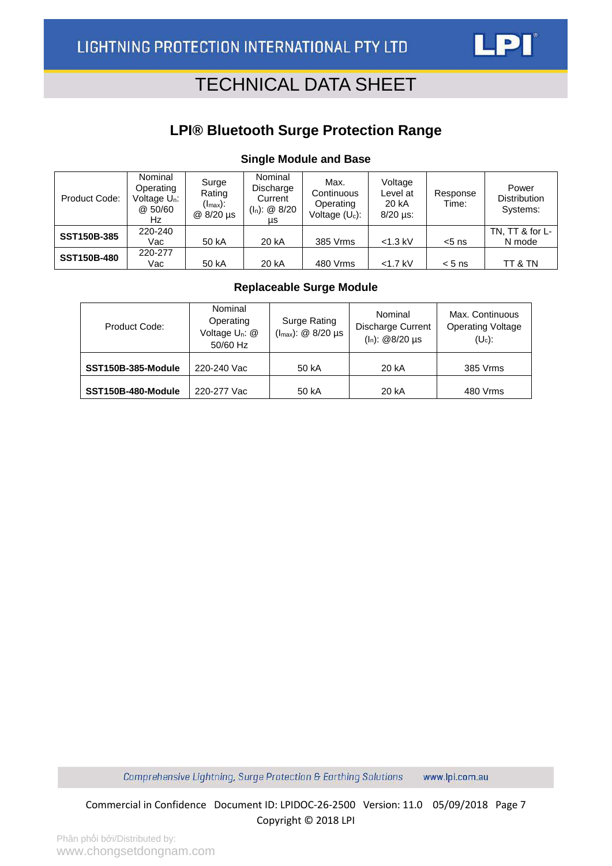### **LPI® Bluetooth Surge Protection Range**

#### **Single Module and Base**

<span id="page-6-0"></span>

| Product Code:      | Nominal<br>Operating<br>Voltage U <sub>n</sub> :<br>@ 50/60<br>Hz | Surge<br>Rating<br>$(I_{\sf max})$ :<br>@ 8/20 µs | Nominal<br>Discharge<br>Current<br>$(I_n)$ : @ 8/20<br>μs | Max.<br>Continuous<br>Operating<br>Voltage $(U_c)$ : | Voltage<br>Level at<br>20 kA<br>$8/20$ µs: | Response<br>Time: | Power<br><b>Distribution</b><br>Systems: |
|--------------------|-------------------------------------------------------------------|---------------------------------------------------|-----------------------------------------------------------|------------------------------------------------------|--------------------------------------------|-------------------|------------------------------------------|
| <b>SST150B-385</b> | 220-240<br>Vac                                                    | 50 kA                                             | 20 kA                                                     | 385 Vrms                                             | $<$ 1.3 kV                                 | $< 5$ ns          | TN, TT & for L-<br>N mode                |
| <b>SST150B-480</b> | 220-277<br>Vac                                                    | 50 kA                                             | 20 kA                                                     | 480 Vrms                                             | $<$ 1.7 kV                                 | $< 5$ ns          | TT & TN                                  |

#### **Replaceable Surge Module**

| Product Code:      | Nominal<br>Surge Rating<br>Operating<br>$(l_{max})$ : @ 8/20 µs<br>Voltage U <sub>n</sub> : @<br>50/60 Hz |       | Nominal<br><b>Discharge Current</b><br>$(I_n)$ : @8/20 µs | Max. Continuous<br><b>Operating Voltage</b><br>$(U_c)$ : |
|--------------------|-----------------------------------------------------------------------------------------------------------|-------|-----------------------------------------------------------|----------------------------------------------------------|
| SST150B-385-Module | 220-240 Vac                                                                                               | 50 kA | 20 kA                                                     | 385 Vrms                                                 |
| SST150B-480-Module | 220-277 Vac                                                                                               | 50 kA | 20 kA                                                     | 480 Vrms                                                 |

Comprehensive Lightning, Surge Protection & Earthing Solutions www.lpi.com.au

Commercial in Confidence Document ID: LPIDOC-26-2500 Version: 11.0 05/09/2018 Page 7 Copyright © 2018 LPI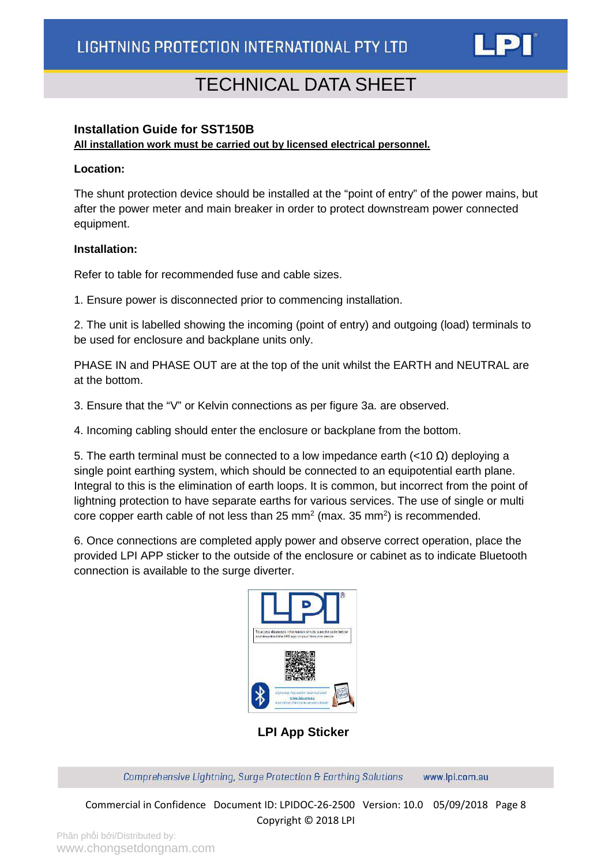

#### <span id="page-7-0"></span>**Installation Guide for SST150B**

**All installation work must be carried out by licensed electrical personnel.**

#### **Location:**

The shunt protection device should be installed at the "point of entry" of the power mains, but after the power meter and main breaker in order to protect downstream power connected equipment.

#### **Installation:**

Refer to table for recommended fuse and cable sizes.

1. Ensure power is disconnected prior to commencing installation.

2. The unit is labelled showing the incoming (point of entry) and outgoing (load) terminals to be used for enclosure and backplane units only.

PHASE IN and PHASE OUT are at the top of the unit whilst the EARTH and NEUTRAL are at the bottom.

3. Ensure that the "V" or Kelvin connections as per figure 3a. are observed.

4. Incoming cabling should enter the enclosure or backplane from the bottom.

5. The earth terminal must be connected to a low impedance earth (<10  $\Omega$ ) deploying a single point earthing system, which should be connected to an equipotential earth plane. Integral to this is the elimination of earth loops. It is common, but incorrect from the point of lightning protection to have separate earths for various services. The use of single or multi core copper earth cable of not less than 25 mm<sup>2</sup> (max. 35 mm<sup>2</sup>) is recommended.

6. Once connections are completed apply power and observe correct operation, place the provided LPI APP sticker to the outside of the enclosure or cabinet as to indicate Bluetooth connection is available to the surge diverter.



**LPI App Sticker**

Comprehensive Lightning, Surge Protection & Earthing Solutions www.lpi.com.au

Commercial in Confidence Document ID: LPIDOC-26-2500 Version: 10.0 05/09/2018 Page 8 Copyright © 2018 LPI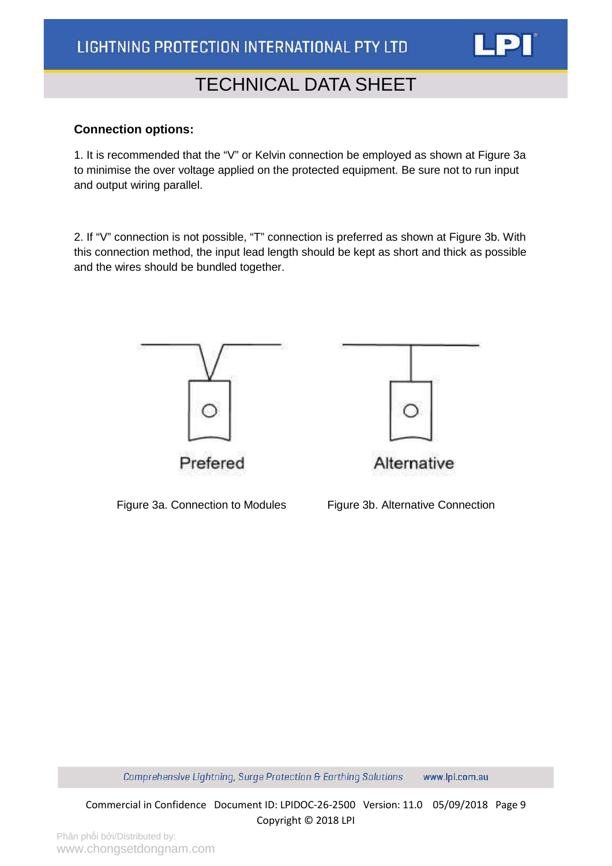#### **Connection options:**

1. It is recommended that the "V" or Kelvin connection be employed as shown at Figure 3a to minimise the over voltage applied on the protected equipment. Be sure not to run input and output wiring parallel.

2. If "V" connection is not possible, "T" connection is preferred as shown at Figure 3b. With this connection method, the input lead length should be kept as short and thick as possible and the wires should be bundled together.



Figure 3a. Connection to Modules Figure 3b. Alternative Connection



Comprehensive Lightning, Surge Protection & Earthing Solutions www.lpi.com.au

Commercial in Confidence Document ID: LPIDOC-26-2500 Version: 11.0 05/09/2018 Page 9 Copyright © 2018 LPI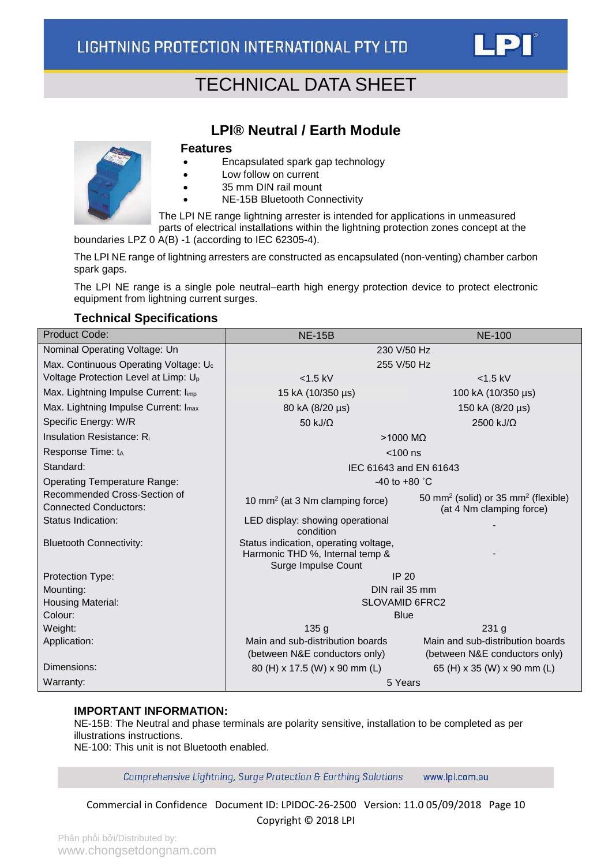

<span id="page-9-0"></span>

### **LPI® Neutral / Earth Module**

#### **Features**

- Encapsulated spark gap technology
- Low follow on current
- 35 mm DIN rail mount
- NE-15B Bluetooth Connectivity

The LPI NE range lightning arrester is intended for applications in unmeasured parts of electrical installations within the lightning protection zones concept at the

boundaries LPZ 0 A(B) -1 (according to IEC 62305-4).

The LPI NE range of lightning arresters are constructed as encapsulated (non-venting) chamber carbon spark gaps.

The LPI NE range is a single pole neutral–earth high energy protection device to protect electronic equipment from lightning current surges.

#### **Technical Specifications**

| <b>Product Code:</b>                                         | <b>NE-15B</b>                                                                                   | <b>NE-100</b>                                                                           |  |  |  |
|--------------------------------------------------------------|-------------------------------------------------------------------------------------------------|-----------------------------------------------------------------------------------------|--|--|--|
| Nominal Operating Voltage: Un                                | 230 V/50 Hz                                                                                     |                                                                                         |  |  |  |
| Max. Continuous Operating Voltage: U <sub>c</sub>            | 255 V/50 Hz                                                                                     |                                                                                         |  |  |  |
| Voltage Protection Level at Limp: U <sub>p</sub>             | $<$ 1.5 kV                                                                                      | $<$ 1.5 kV                                                                              |  |  |  |
| Max. Lightning Impulse Current: Iimp                         | 15 kA (10/350 µs)                                                                               | 100 kA (10/350 µs)                                                                      |  |  |  |
| Max. Lightning Impulse Current: I <sub>max</sub>             | 80 kA (8/20 µs)                                                                                 | 150 kA (8/20 µs)                                                                        |  |  |  |
| Specific Energy: W/R                                         | 50 kJ/ $\Omega$                                                                                 | $2500$ kJ/ $\Omega$                                                                     |  |  |  |
| Insulation Resistance: Ri                                    | $>1000$ M $\Omega$                                                                              |                                                                                         |  |  |  |
| Response Time: tA                                            | $<$ 100 ns                                                                                      |                                                                                         |  |  |  |
| Standard:                                                    | IEC 61643 and EN 61643                                                                          |                                                                                         |  |  |  |
| <b>Operating Temperature Range:</b>                          | $-40$ to $+80$ °C                                                                               |                                                                                         |  |  |  |
| Recommended Cross-Section of<br><b>Connected Conductors:</b> | 10 mm <sup>2</sup> (at 3 Nm clamping force)                                                     | 50 mm <sup>2</sup> (solid) or 35 mm <sup>2</sup> (flexible)<br>(at 4 Nm clamping force) |  |  |  |
| Status Indication:                                           | LED display: showing operational<br>condition                                                   |                                                                                         |  |  |  |
| <b>Bluetooth Connectivity:</b>                               | Status indication, operating voltage,<br>Harmonic THD %, Internal temp &<br>Surge Impulse Count |                                                                                         |  |  |  |
| Protection Type:                                             | <b>IP 20</b>                                                                                    |                                                                                         |  |  |  |
| Mounting:                                                    | DIN rail 35 mm                                                                                  |                                                                                         |  |  |  |
| Housing Material:                                            | <b>SLOVAMID 6FRC2</b>                                                                           |                                                                                         |  |  |  |
| Colour:                                                      | <b>Blue</b>                                                                                     |                                                                                         |  |  |  |
| Weight:                                                      | 135 <sub>g</sub>                                                                                | 231 <sub>g</sub>                                                                        |  |  |  |
| Application:                                                 | Main and sub-distribution boards                                                                | Main and sub-distribution boards                                                        |  |  |  |
|                                                              | (between N&E conductors only)                                                                   | (between N&E conductors only)                                                           |  |  |  |
| Dimensions:                                                  | 80 (H) x 17.5 (W) x 90 mm (L)                                                                   | 65 (H) x 35 (W) x 90 mm (L)                                                             |  |  |  |
| Warranty:                                                    | 5 Years                                                                                         |                                                                                         |  |  |  |

#### **IMPORTANT INFORMATION:**

NE-15B: The Neutral and phase terminals are polarity sensitive, installation to be completed as per illustrations instructions.

NE-100: This unit is not Bluetooth enabled.

Comprehensive Lightning, Surge Protection & Earthing Solutions www.lpi.com.au

Commercial in Confidence Document ID: LPIDOC-26-2500 Version: 11.0 05/09/2018 Page 10 Copyright © 2018 LPI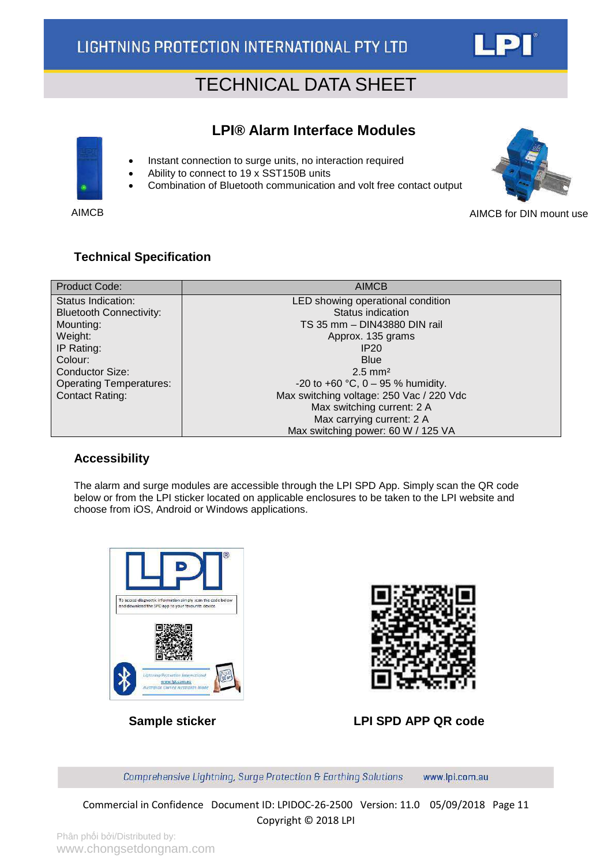

### <span id="page-10-0"></span>**LPI® Alarm Interface Modules**

- Instant connection to surge units, no interaction required
- Ability to connect to 19 x SST150B units
- Combination of Bluetooth communication and volt free contact output



AIMCB AIMCB **AIMCB AIMCB** for DIN mount use

#### **Technical Specification**

| Product Code:                  | <b>AIMCB</b>                             |
|--------------------------------|------------------------------------------|
| Status Indication:             | LED showing operational condition        |
| <b>Bluetooth Connectivity:</b> | Status indication                        |
| Mounting:                      | TS 35 mm - DIN43880 DIN rail             |
| Weight:                        | Approx. 135 grams                        |
| IP Rating:                     | IP20                                     |
| Colour:                        | <b>Blue</b>                              |
| <b>Conductor Size:</b>         | $2.5$ mm <sup>2</sup>                    |
| <b>Operating Temperatures:</b> | -20 to +60 °C, $0 - 95$ % humidity.      |
| <b>Contact Rating:</b>         | Max switching voltage: 250 Vac / 220 Vdc |
|                                | Max switching current: 2 A               |
|                                | Max carrying current: 2 A                |
|                                | Max switching power: 60 W / 125 VA       |

#### **Accessibility**

The alarm and surge modules are accessible through the LPI SPD App. Simply scan the QR code below or from the LPI sticker located on applicable enclosures to be taken to the LPI website and choose from iOS, Android or Windows applications.





 **Sample sticker LPI SPD APP QR code**

Comprehensive Lightning, Surge Protection & Earthing Solutions www.lpi.com.au

Commercial in Confidence Document ID: LPIDOC-26-2500 Version: 11.0 05/09/2018 Page 11 Copyright © 2018 LPI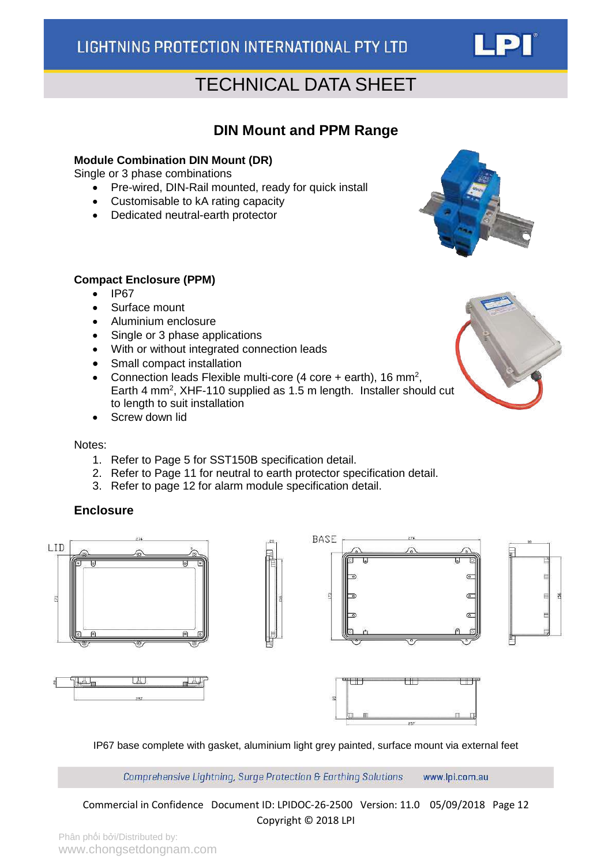### <span id="page-11-0"></span>**DIN Mount and PPM Range**

#### **Module Combination DIN Mount (DR)**

Single or 3 phase combinations

- Pre-wired, DIN-Rail mounted, ready for quick install
- Customisable to kA rating capacity
- Dedicated neutral-earth protector



- IP67
- Surface mount
- Aluminium enclosure
- Single or 3 phase applications
- With or without integrated connection leads
- Small compact installation
- Connection leads Flexible multi-core  $(4 \text{ core} + \text{earth})$ , 16 mm<sup>2</sup>, Earth 4 mm<sup>2</sup>, XHF-110 supplied as 1.5 m length. Installer should cut to length to suit installation
- Screw down lid

Notes:

- 1. Refer to Page 5 for SST150B specification detail.
- 2. Refer to Page 11 for neutral to earth protector specification detail.
- 3. Refer to page 12 for alarm module specification detail.

#### **Enclosure**











IP67 base complete with gasket, aluminium light grey painted, surface mount via external feet

Comprehensive Lightning, Surge Protection & Earthing Solutions www.lpi.com.au

Commercial in Confidence Document ID: LPIDOC-26-2500 Version: 11.0 05/09/2018 Page 12 Copyright © 2018 LPI





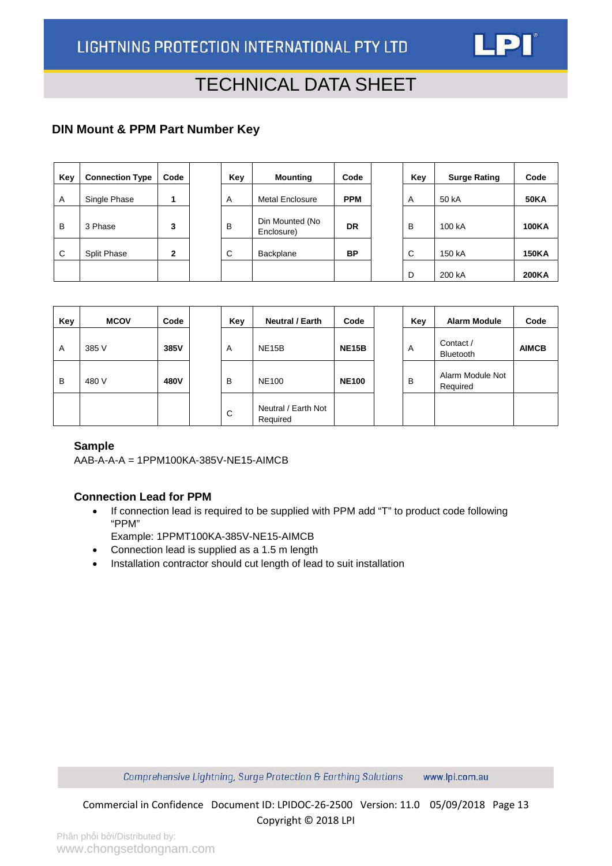

### <span id="page-12-0"></span>**DIN Mount & PPM Part Number Key**

| Key | <b>Connection Type</b> | Code | Key | <b>Mounting</b>               | Code       | Key | <b>Surge Rating</b> | Code         |
|-----|------------------------|------|-----|-------------------------------|------------|-----|---------------------|--------------|
| Α   | Single Phase           |      | A   | <b>Metal Enclosure</b>        | <b>PPM</b> | A   | 50 kA               | <b>50KA</b>  |
| B   | 3 Phase                | 3    | B   | Din Mounted (No<br>Enclosure) | DR         | B   | 100 kA              | <b>100KA</b> |
| C   | <b>Split Phase</b>     | 2    | C   | Backplane                     | <b>BP</b>  | С   | 150 kA              | <b>150KA</b> |
|     |                        |      |     |                               |            | D   | 200 kA              | <b>200KA</b> |

| Key | <b>MCOV</b> | Code | Key | <b>Neutral / Earth</b>          | Code         | Key | <b>Alarm Module</b>          | Code         |
|-----|-------------|------|-----|---------------------------------|--------------|-----|------------------------------|--------------|
| A   | 385 V       | 385V | A   | <b>NE15B</b>                    | <b>NE15B</b> | A   | Contact /<br>Bluetooth       | <b>AIMCB</b> |
| B   | 480 V       | 480V | B   | <b>NE100</b>                    | <b>NE100</b> | B   | Alarm Module Not<br>Required |              |
|     |             |      | C   | Neutral / Earth Not<br>Required |              |     |                              |              |

#### **Sample**

AAB-A-A-A = 1PPM100KA-385V-NE15-AIMCB

#### **Connection Lead for PPM**

- If connection lead is required to be supplied with PPM add "T" to product code following "PPM"
	- Example: 1PPMT100KA-385V-NE15-AIMCB
- Connection lead is supplied as a 1.5 m length
- Installation contractor should cut length of lead to suit installation

Comprehensive Lightning, Surge Protection & Earthing Solutions www.lpi.com.au

Commercial in Confidence Document ID: LPIDOC-26-2500 Version: 11.0 05/09/2018 Page 13 Copyright © 2018 LPI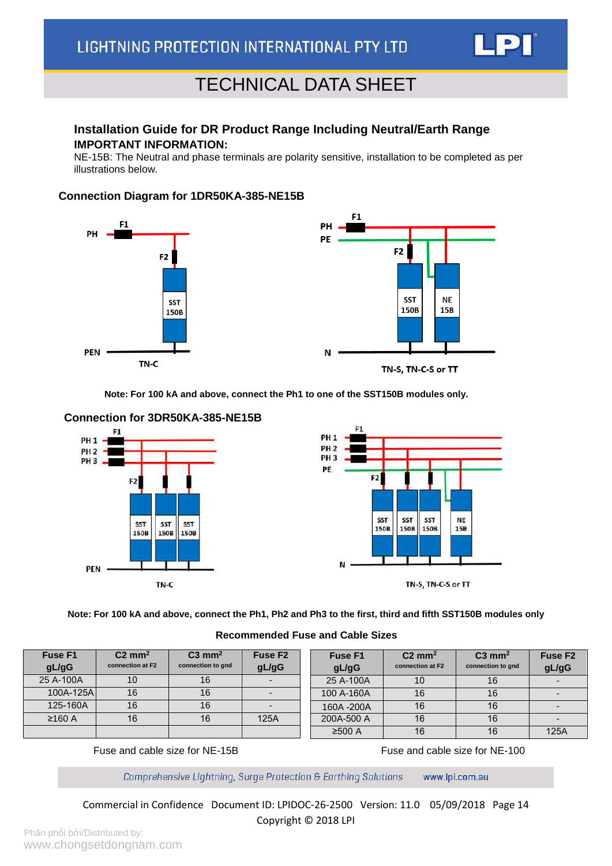

#### <span id="page-13-0"></span>**Installation Guide for DR Product Range Including Neutral/Earth Range IMPORTANT INFORMATION:**

NE-15B: The Neutral and phase terminals are polarity sensitive, installation to be completed as per illustrations below.

#### **Connection Diagram for 1DR50KA-385-NE15B**





TN-S. TN-C-S or TT

**Note: For 100 kA and above, connect the Ph1 to one of the SST150B modules only.**



#### **Connection for 3DR50KA-385-NE15B**

**Note: For 100 kA and above, connect the Ph1, Ph2 and Ph3 to the first, third and fifth SST150B modules only**

#### **Recommended Fuse and Cable Sizes**

| <b>Fuse F1</b> | $C2 \text{ mm}^2$ | $C3$ mm <sup>2</sup> | Fuse F <sub>2</sub> | <b>Fuse F1</b> | $C2 \text{ mm}^2$ | $C3$ mm <sup>2</sup> | Fuse F <sub>2</sub> |
|----------------|-------------------|----------------------|---------------------|----------------|-------------------|----------------------|---------------------|
| gL/gG          | connection at F2  | connection to gnd    | gL/gG               | gL/gG          | connection at F2  | connection to gnd    | gL/gG               |
| 25 A-100A      | 10                | 16                   |                     | 25 A-100A      | 10                | 16                   |                     |
| 100A-125A      | 16                | 16                   |                     | 100 A-160A     | 16                | 16                   |                     |
| 125-160A       | 16                | 16                   |                     | 160A-200A      | 16                | 16                   |                     |
| ≥160 A         | 16                | 16                   | 125A                | 200A-500 A     | 16                | 16                   |                     |
|                |                   |                      |                     | ≥500 A         | 16                | 16                   | 125A                |

Fuse and cable size for NE-15B Fuse and cable size for NE-100

Comprehensive Lightning, Surge Protection & Earthing Solutions www.lpi.com.au

Commercial in Confidence Document ID: LPIDOC-26-2500 Version: 11.0 05/09/2018 Page 14 Copyright © 2018 LPI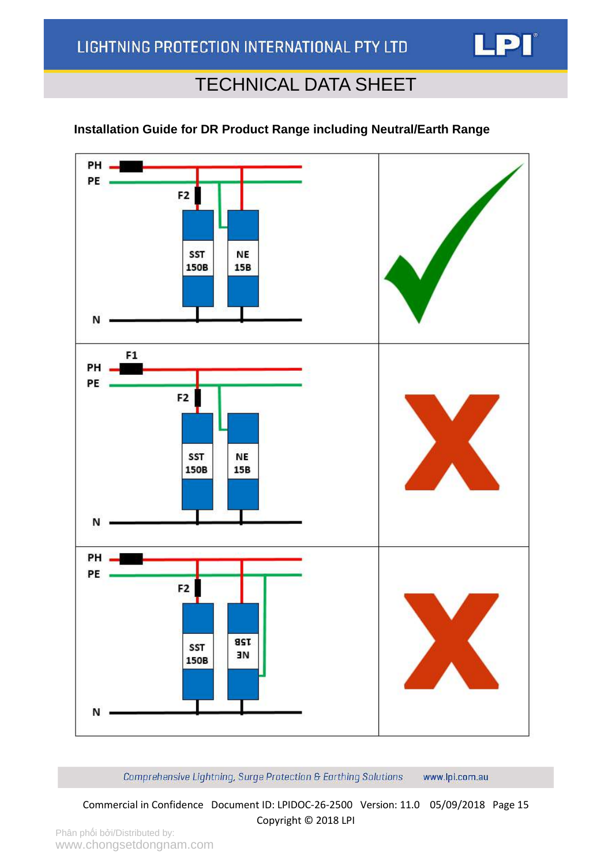

### **Installation Guide for DR Product Range including Neutral/Earth Range**



Comprehensive Lightning, Surge Protection & Earthing Solutions www.lpi.com.au

Commercial in Confidence Document ID: LPIDOC-26-2500 Version: 11.0 05/09/2018 Page 15 Copyright © 2018 LPI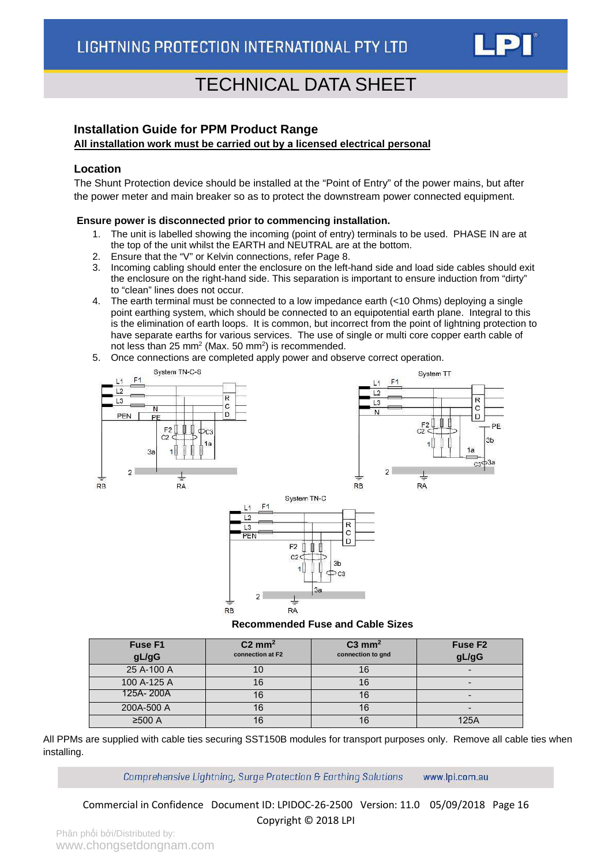

#### <span id="page-15-0"></span>**Installation Guide for PPM Product Range**

#### **All installation work must be carried out by a licensed electrical personal**

#### **Location**

The Shunt Protection device should be installed at the "Point of Entry" of the power mains, but after the power meter and main breaker so as to protect the downstream power connected equipment.

#### **Ensure power is disconnected prior to commencing installation.**

- 1. The unit is labelled showing the incoming (point of entry) terminals to be used. PHASE IN are at the top of the unit whilst the EARTH and NEUTRAL are at the bottom.
- 2. Ensure that the "V" or Kelvin connections, refer Page 8.
- 3. Incoming cabling should enter the enclosure on the left-hand side and load side cables should exit the enclosure on the right-hand side. This separation is important to ensure induction from "dirty" to "clean" lines does not occur.
- 4. The earth terminal must be connected to a low impedance earth (<10 Ohms) deploying a single point earthing system, which should be connected to an equipotential earth plane. Integral to this is the elimination of earth loops. It is common, but incorrect from the point of lightning protection to have separate earths for various services. The use of single or multi core copper earth cable of not less than 25 mm<sup>2</sup> (Max. 50 mm<sup>2</sup>) is recommended.
- 5. Once connections are completed apply power and observe correct operation.



#### **Recommended Fuse and Cable Sizes**

| <b>Fuse F1</b><br>gL/gG | $C2 \text{ mm}^2$<br>connection at F2 | $C3$ mm <sup>2</sup><br>connection to gnd | Fuse F <sub>2</sub><br>gL/gG |
|-------------------------|---------------------------------------|-------------------------------------------|------------------------------|
| 25 A-100 A              |                                       |                                           |                              |
| 100 A-125 A             |                                       |                                           |                              |
| 125A-200A               |                                       |                                           |                              |
| 200A-500 A              |                                       | 16                                        |                              |
| ≥500 A                  |                                       |                                           | 125A                         |

All PPMs are supplied with cable ties securing SST150B modules for transport purposes only. Remove all cable ties when installing.

> Comprehensive Lightning, Surge Protection & Earthing Solutions www.lpi.com.au

Commercial in Confidence Document ID: LPIDOC-26-2500 Version: 11.0 05/09/2018 Page 16 Copyright © 2018 LPI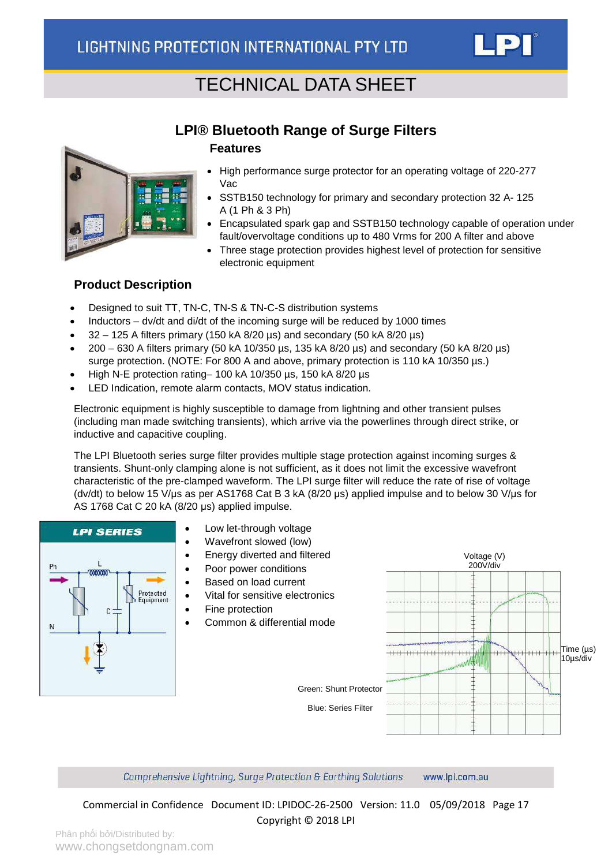

### **LPI® Bluetooth Range of Surge Filters Features**

<span id="page-16-0"></span>

- High performance surge protector for an operating voltage of 220-277 Vac
- SSTB150 technology for primary and secondary protection 32 A- 125 A (1 Ph & 3 Ph)
- Encapsulated spark gap and SSTB150 technology capable of operation under fault/overvoltage conditions up to 480 Vrms for 200 A filter and above
- Three stage protection provides highest level of protection for sensitive electronic equipment

#### **Product Description**

- Designed to suit TT, TN-C, TN-S & TN-C-S distribution systems
- Inductors dv/dt and di/dt of the incoming surge will be reduced by 1000 times
- 32 125 A filters primary (150 kA 8/20 µs) and secondary (50 kA 8/20 µs)
- 200 630 A filters primary (50 kA 10/350 µs, 135 kA 8/20 µs) and secondary (50 kA 8/20 µs) surge protection. (NOTE: For 800 A and above, primary protection is 110 kA 10/350  $\mu$ s.)
- High N-E protection rating– 100 kA 10/350 µs, 150 kA 8/20 µs
- LED Indication, remote alarm contacts, MOV status indication.

Electronic equipment is highly susceptible to damage from lightning and other transient pulses (including man made switching transients), which arrive via the powerlines through direct strike, or inductive and capacitive coupling.

The LPI Bluetooth series surge filter provides multiple stage protection against incoming surges & transients. Shunt-only clamping alone is not sufficient, as it does not limit the excessive wavefront characteristic of the pre-clamped waveform. The LPI surge filter will reduce the rate of rise of voltage (dv/dt) to below 15 V/μs as per AS1768 Cat B 3 kA (8/20 μs) applied impulse and to below 30 V/μs for AS 1768 Cat C 20 kA (8/20 μs) applied impulse.



Comprehensive Lightning, Surge Protection & Earthing Solutions www.lpi.com.au

Commercial in Confidence Document ID: LPIDOC-26-2500 Version: 11.0 05/09/2018 Page 17 Copyright © 2018 LPI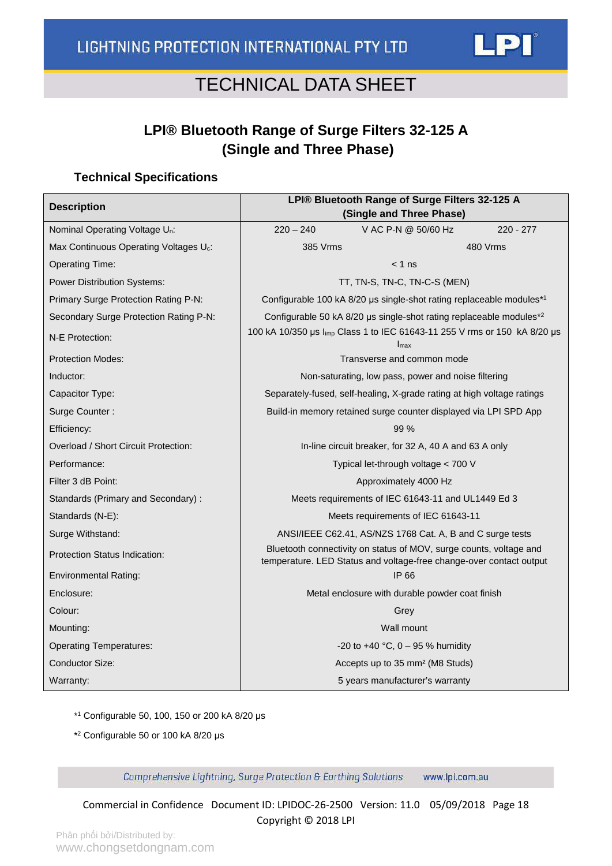### **LPI® Bluetooth Range of Surge Filters 32-125 A (Single and Three Phase)**

#### <span id="page-17-0"></span>**Technical Specifications**

| <b>Description</b>                                 | LPI® Bluetooth Range of Surge Filters 32-125 A<br>(Single and Three Phase) |                                                                                                                                           |             |  |  |
|----------------------------------------------------|----------------------------------------------------------------------------|-------------------------------------------------------------------------------------------------------------------------------------------|-------------|--|--|
| Nominal Operating Voltage U <sub>n</sub> :         | $220 - 240$                                                                | V AC P-N @ 50/60 Hz                                                                                                                       | $220 - 277$ |  |  |
| Max Continuous Operating Voltages U <sub>c</sub> : | 385 Vrms                                                                   |                                                                                                                                           | 480 Vrms    |  |  |
| <b>Operating Time:</b>                             |                                                                            | $< 1$ ns                                                                                                                                  |             |  |  |
| <b>Power Distribution Systems:</b>                 |                                                                            | TT, TN-S, TN-C, TN-C-S (MEN)                                                                                                              |             |  |  |
| Primary Surge Protection Rating P-N:               |                                                                            | Configurable 100 kA 8/20 µs single-shot rating replaceable modules*1                                                                      |             |  |  |
| Secondary Surge Protection Rating P-N:             |                                                                            | Configurable 50 kA 8/20 µs single-shot rating replaceable modules <sup>*2</sup>                                                           |             |  |  |
| N-E Protection:                                    | 100 kA 10/350 us limp Class 1 to IEC 61643-11 255 V rms or 150 kA 8/20 us  | Imax                                                                                                                                      |             |  |  |
| <b>Protection Modes:</b>                           |                                                                            | Transverse and common mode                                                                                                                |             |  |  |
| Inductor:                                          |                                                                            | Non-saturating, low pass, power and noise filtering                                                                                       |             |  |  |
| Capacitor Type:                                    |                                                                            | Separately-fused, self-healing, X-grade rating at high voltage ratings                                                                    |             |  |  |
| Surge Counter:                                     | Build-in memory retained surge counter displayed via LPI SPD App           |                                                                                                                                           |             |  |  |
| Efficiency:                                        | 99%                                                                        |                                                                                                                                           |             |  |  |
| Overload / Short Circuit Protection:               | In-line circuit breaker, for 32 A, 40 A and 63 A only                      |                                                                                                                                           |             |  |  |
| Performance:                                       |                                                                            | Typical let-through voltage < 700 V                                                                                                       |             |  |  |
| Filter 3 dB Point:                                 |                                                                            | Approximately 4000 Hz                                                                                                                     |             |  |  |
| Standards (Primary and Secondary):                 | Meets requirements of IEC 61643-11 and UL1449 Ed 3                         |                                                                                                                                           |             |  |  |
| Standards (N-E):                                   | Meets requirements of IEC 61643-11                                         |                                                                                                                                           |             |  |  |
| Surge Withstand:                                   |                                                                            | ANSI/IEEE C62.41, AS/NZS 1768 Cat. A, B and C surge tests                                                                                 |             |  |  |
| Protection Status Indication:                      |                                                                            | Bluetooth connectivity on status of MOV, surge counts, voltage and<br>temperature. LED Status and voltage-free change-over contact output |             |  |  |
| <b>Environmental Rating:</b>                       |                                                                            | IP 66                                                                                                                                     |             |  |  |
| Enclosure:                                         |                                                                            | Metal enclosure with durable powder coat finish                                                                                           |             |  |  |
| Colour:                                            |                                                                            | Grey                                                                                                                                      |             |  |  |
| Mounting:                                          |                                                                            | Wall mount                                                                                                                                |             |  |  |
| <b>Operating Temperatures:</b>                     |                                                                            | -20 to +40 °C, $0 - 95$ % humidity                                                                                                        |             |  |  |
| Conductor Size:                                    |                                                                            | Accepts up to 35 mm <sup>2</sup> (M8 Studs)                                                                                               |             |  |  |
| Warranty:                                          |                                                                            | 5 years manufacturer's warranty                                                                                                           |             |  |  |

\*1 Configurable 50, 100, 150 or 200 kA 8/20 μs

\*2 Configurable 50 or 100 kA 8/20 μs

Comprehensive Lightning, Surge Protection & Earthing Solutions www.lpi.com.au

Commercial in Confidence Document ID: LPIDOC-26-2500 Version: 11.0 05/09/2018 Page 18 Copyright © 2018 LPI

LPI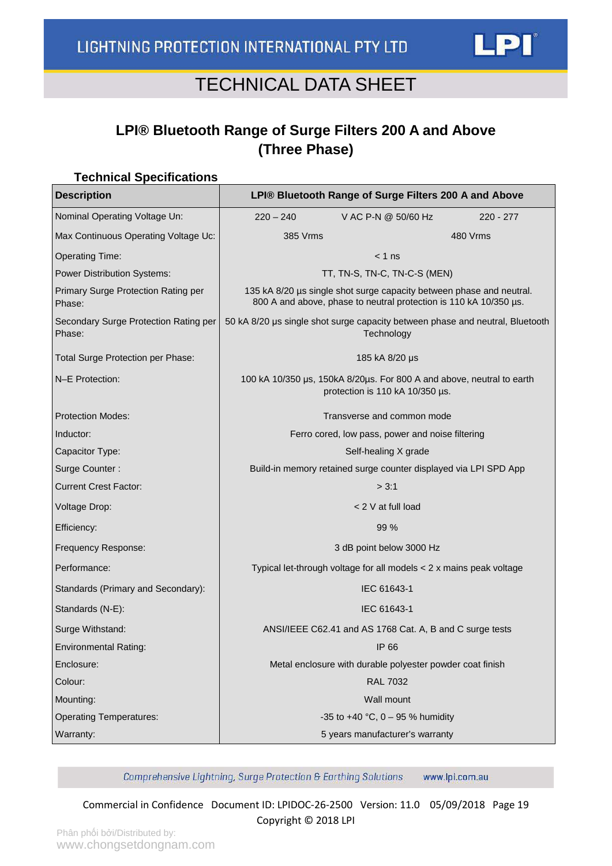### <span id="page-18-0"></span>**LPI® Bluetooth Range of Surge Filters 200 A and Above (Three Phase)**

### **Technical Specifications Description LPI® Bluetooth Range of Surge Filters 200 A and Above** Nominal Operating Voltage Un:  $\vert$  220 – 240 V AC P-N @ 50/60 Hz 220 - 277 Max Continuous Operating Voltage Uc: 385 Vrms 480 Vrms Operating Time:  $\vert$  and  $\vert$  and  $\vert$  and  $\vert$  and  $\vert$  and  $\vert$  and  $\vert$  and  $\vert$  and  $\vert$  and  $\vert$  and  $\vert$  and  $\vert$  and  $\vert$  and  $\vert$  and  $\vert$  and  $\vert$  and  $\vert$  and  $\vert$  and  $\vert$  and  $\vert$  and  $\vert$  and  $\vert$  and  $\vert$  and Power Distribution Systems:  $\overline{LT}$ , TT, TN-S, TN-C, TN-C-S (MEN) Primary Surge Protection Rating per Phase: 135 kA 8/20 µs single shot surge capacity between phase and neutral. 800 A and above, phase to neutral protection is 110 kA 10/350 µs. Secondary Surge Protection Rating per Phase: 50 kA 8/20 μs single shot surge capacity between phase and neutral, Bluetooth **Technology** Total Surge Protection per Phase: 185 kA 8/20 μs N–E Protection: 100 kA 10/350 μs, 150kA 8/20μs. For 800 A and above, neutral to earth protection is 110 kA 10/350 µs. Protection Modes: Transverse and common mode Inductor: Ferro cored, low pass, power and noise filtering Capacitor Type: Self-healing X grade Surge Counter : Build-in memory retained surge counter displayed via LPI SPD App Current Crest Factor:  $\vert$  3:1 Voltage Drop: < 2 V at full load Efficiency: 99 % Frequency Response: 3 dB point below 3000 Hz Performance: Typical let-through voltage for all models < 2 x mains peak voltage Standards (Primary and Secondary): | IEC 61643-1 Standards (N-E): IEC 61643-1 Surge Withstand: ANSI/IEEE C62.41 and AS 1768 Cat. A, B and C surge tests Environmental Rating: Internal Policy Contract Contract of the UP 66 Enclosure: Metal enclosure with durable polyester powder coat finish Colour: RAL 7032 Mounting: Wall mount Operating Temperatures:  $\vert$  35 to +40 °C, 0 – 95 % humidity Warranty: 5 years manufacturer's warranty

Comprehensive Lightning, Surge Protection & Earthing Solutions www.lpi.com.au

Commercial in Confidence Document ID: LPIDOC-26-2500 Version: 11.0 05/09/2018 Page 19 Copyright © 2018 LPI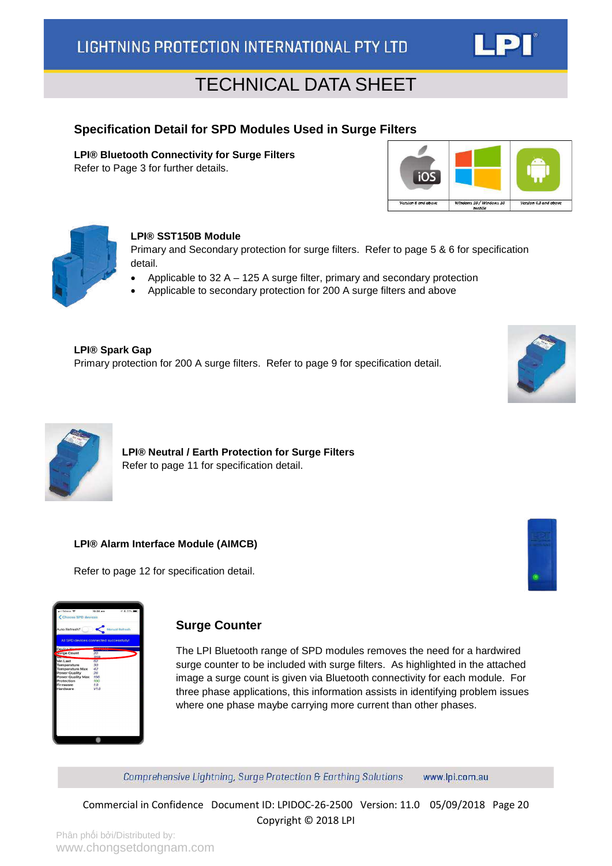#### <span id="page-19-0"></span>**Specification Detail for SPD Modules Used in Surge Filters**

**LPI® Bluetooth Connectivity for Surge Filters** Refer to Page 3 for further details.





#### **LPI® SST150B Module**

Primary and Secondary protection for surge filters. Refer to page 5 & 6 for specification detail.

- Applicable to 32 A 125 A surge filter, primary and secondary protection
- Applicable to secondary protection for 200 A surge filters and above

**LPI® Spark Gap** Primary protection for 200 A surge filters. Refer to page 9 for specification detail.





**LPI® Neutral / Earth Protection for Surge Filters** Refer to page 11 for specification detail.

#### **LPI® Alarm Interface Module (AIMCB)**

Refer to page 12 for specification detail.





#### <span id="page-19-1"></span>**Surge Counter**

The LPI Bluetooth range of SPD modules removes the need for a hardwired surge counter to be included with surge filters. As highlighted in the attached image a surge count is given via Bluetooth connectivity for each module. For three phase applications, this information assists in identifying problem issues where one phase maybe carrying more current than other phases.

Comprehensive Lightning, Surge Protection & Earthing Solutions www.lpi.com.au

Commercial in Confidence Document ID: LPIDOC-26-2500 Version: 11.0 05/09/2018 Page 20 Copyright © 2018 LPI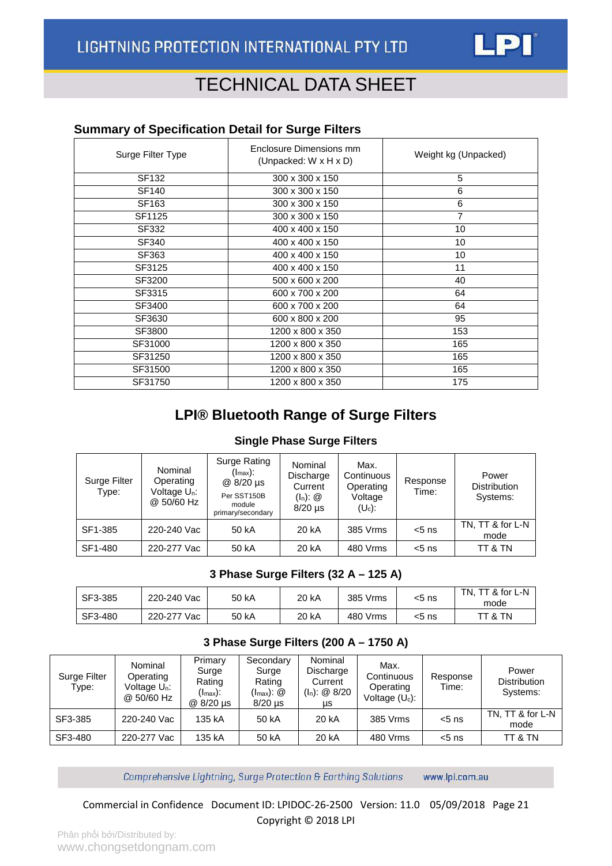

#### <span id="page-20-0"></span>**Summary of Specification Detail for Surge Filters**

| Surge Filter Type | Enclosure Dimensions mm<br>(Unpacked: W x H x D) | Weight kg (Unpacked) |  |  |
|-------------------|--------------------------------------------------|----------------------|--|--|
| SF132             | 300 x 300 x 150                                  | 5                    |  |  |
| SF140             | 300 x 300 x 150                                  | 6                    |  |  |
| SF163             | 300 x 300 x 150                                  | 6                    |  |  |
| SF1125            | 300 x 300 x 150                                  | $\overline{7}$       |  |  |
| SF332             | 400 x 400 x 150                                  | 10                   |  |  |
| SF340             | 400 x 400 x 150                                  | 10                   |  |  |
| SF363             | 400 x 400 x 150                                  | 10                   |  |  |
| SF3125            | 400 x 400 x 150                                  | 11                   |  |  |
| SF3200            | 500 x 600 x 200                                  | 40                   |  |  |
| SF3315            | 600 x 700 x 200                                  | 64                   |  |  |
| SF3400            | 600 x 700 x 200                                  | 64                   |  |  |
| SF3630            | 600 x 800 x 200                                  | 95                   |  |  |
| SF3800            | 1200 x 800 x 350                                 | 153                  |  |  |
| SF31000           | 1200 x 800 x 350                                 | 165                  |  |  |
| SF31250           | 1200 x 800 x 350                                 | 165                  |  |  |
| SF31500           | 1200 x 800 x 350                                 | 165                  |  |  |
| SF31750           | 1200 x 800 x 350                                 | 175                  |  |  |

### **LPI® Bluetooth Range of Surge Filters**

#### **Single Phase Surge Filters**

| Surge Filter<br>Type: | Nominal<br>Operating<br>Voltage U <sub>n</sub> :<br>@ 50/60 Hz | Surge Rating<br>(I <sub>max</sub> ):<br>@ 8/20 us<br>Per SST150B<br>module<br>primary/secondary | Nominal<br>Discharge<br>Current<br>$(I_n)$ : $@$<br>$8/20$ µs | Max.<br>Continuous<br>Operating<br>Voltage<br>$(U_c)$ : | Response<br>Time: | Power<br><b>Distribution</b><br>Systems: |
|-----------------------|----------------------------------------------------------------|-------------------------------------------------------------------------------------------------|---------------------------------------------------------------|---------------------------------------------------------|-------------------|------------------------------------------|
| SF1-385               | 220-240 Vac                                                    | 50 kA                                                                                           | 20 kA                                                         | 385 Vrms                                                | $< 5$ ns          | TN, TT & for L-N<br>mode                 |
| SF1-480               | 220-277 Vac                                                    | 50 kA                                                                                           | 20 kA                                                         | 480 Vrms                                                | $< 5$ ns          | TT & TN                                  |

#### **3 Phase Surge Filters (32 A – 125 A)**

| SF3-385 | 220-240 Vac | 50 kA | 20 kA | 385 Vrms | $<$ 5 ns | TN. TT & for L-N<br>mode |
|---------|-------------|-------|-------|----------|----------|--------------------------|
| SF3-480 | 220-277 Vac | 50 kA | 20 kA | 480 Vrms | <5 ns    | TT & TN                  |

#### **3 Phase Surge Filters (200 A – 1750 A)**

| Surge Filter<br>Type: | Nominal<br>Operating<br>Voltage U <sub>n</sub> :<br>@ 50/60 Hz | Primary<br>Surge<br>Rating<br>$(\mathsf{I}_{\text{max}})$ :<br>@ 8/20 µs | Secondary<br>Surge<br>Rating<br>$(\mathsf{I}_{\text{max}})$ : $\circledR$<br>$8/20$ µs | Nominal<br>Discharge<br>Current<br>$(I_n)$ : @ 8/20<br>μs | Max.<br>Continuous<br>Operating<br>Voltage $(U_c)$ : | Response<br>Time: | Power<br><b>Distribution</b><br>Systems: |
|-----------------------|----------------------------------------------------------------|--------------------------------------------------------------------------|----------------------------------------------------------------------------------------|-----------------------------------------------------------|------------------------------------------------------|-------------------|------------------------------------------|
| SF3-385               | 220-240 Vac                                                    | 135 kA                                                                   | 50 kA                                                                                  | 20 kA                                                     | 385 Vrms                                             | $< 5$ ns          | TN, TT & for L-N<br>mode                 |
| SF3-480               | 220-277 Vac                                                    | 135 kA                                                                   | 50 kA                                                                                  | 20 kA                                                     | 480 Vrms                                             | $<$ 5 ns          | TT & TN                                  |

www.lpi.com.au Comprehensive Lightning, Surge Protection & Earthing Solutions

Commercial in Confidence Document ID: LPIDOC-26-2500 Version: 11.0 05/09/2018 Page 21 Copyright © 2018 LPI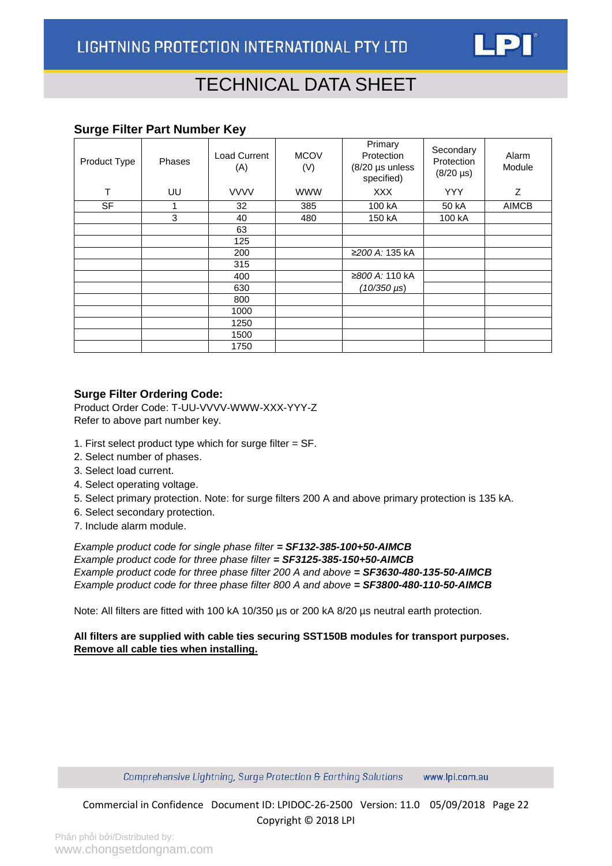

#### <span id="page-21-0"></span>**Surge Filter Part Number Key**

| Product Type | Phases | <b>Load Current</b><br>(A) | <b>MCOV</b><br>(V) | Primary<br>Protection<br>(8/20 µs unless<br>specified) | Secondary<br>Protection<br>$(8/20 \,\mu s)$ | Alarm<br>Module |
|--------------|--------|----------------------------|--------------------|--------------------------------------------------------|---------------------------------------------|-----------------|
| т            | UU     | <b>VVVV</b>                | <b>WWW</b>         | <b>XXX</b>                                             | <b>YYY</b>                                  | Z               |
| <b>SF</b>    |        | 32                         | 385                | 100 kA                                                 | 50 kA                                       | <b>AIMCB</b>    |
|              | 3      | 40                         | 480                | 150 kA                                                 | 100 kA                                      |                 |
|              |        | 63                         |                    |                                                        |                                             |                 |
|              |        | 125                        |                    |                                                        |                                             |                 |
|              |        | 200                        |                    | ≥200 A: 135 kA                                         |                                             |                 |
|              |        | 315                        |                    |                                                        |                                             |                 |
|              |        | 400                        |                    | ≥800 A: 110 kA                                         |                                             |                 |
|              |        | 630                        |                    | $(10/350 \,\mu s)$                                     |                                             |                 |
|              |        | 800                        |                    |                                                        |                                             |                 |
|              |        | 1000                       |                    |                                                        |                                             |                 |
|              |        | 1250                       |                    |                                                        |                                             |                 |
|              |        | 1500                       |                    |                                                        |                                             |                 |
|              |        | 1750                       |                    |                                                        |                                             |                 |

#### **Surge Filter Ordering Code:**

Product Order Code: T-UU-VVVV-WWW-XXX-YYY-Z Refer to above part number key.

- 1. First select product type which for surge filter = SF.
- 2. Select number of phases.
- 3. Select load current.
- 4. Select operating voltage.
- 5. Select primary protection. Note: for surge filters 200 A and above primary protection is 135 kA.
- 6. Select secondary protection.
- 7. Include alarm module.

*Example product code for single phase filter = SF132-385-100+50-AIMCB Example product code for three phase filter = SF3125-385-150+50-AIMCB Example product code for three phase filter 200 A and above = SF3630-480-135-50-AIMCB Example product code for three phase filter 800 A and above = SF3800-480-110-50-AIMCB*

Note: All filters are fitted with 100 kA 10/350 µs or 200 kA 8/20 µs neutral earth protection.

#### **All filters are supplied with cable ties securing SST150B modules for transport purposes. Remove all cable ties when installing.**

Comprehensive Lightning, Surge Protection & Earthing Solutions www.lpi.com.au

Commercial in Confidence Document ID: LPIDOC-26-2500 Version: 11.0 05/09/2018 Page 22 Copyright © 2018 LPI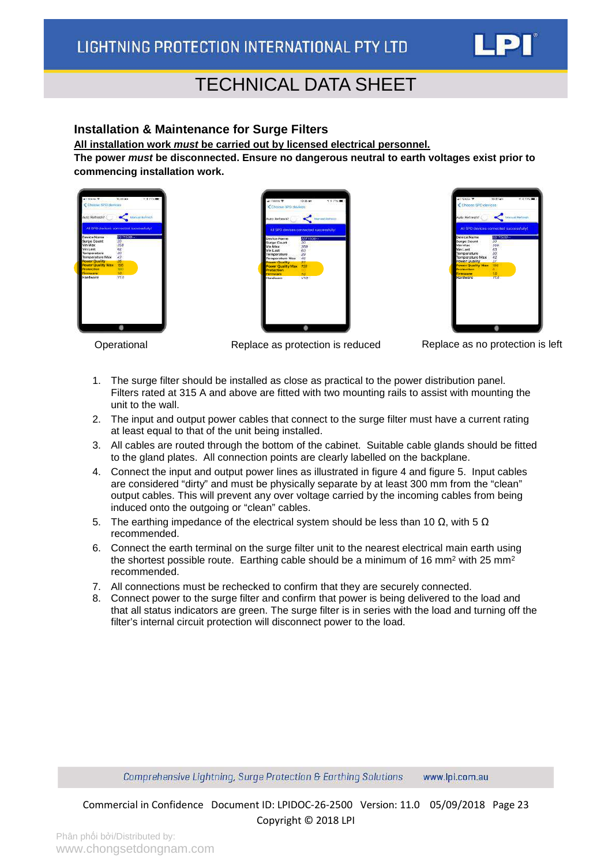

#### <span id="page-22-0"></span>**Installation & Maintenance for Surge Filters**

**All installation work** *must* **be carried out by licensed electrical personnel.**

**The power** *must* **be disconnected. Ensure no dangerous neutral to earth voltages exist prior to commencing installation work.**







Operational Replace as protection is reduced Replace as no protection is left

- 1. The surge filter should be installed as close as practical to the power distribution panel. Filters rated at 315 A and above are fitted with two mounting rails to assist with mounting the unit to the wall.
- 2. The input and output power cables that connect to the surge filter must have a current rating at least equal to that of the unit being installed.
- 3. All cables are routed through the bottom of the cabinet. Suitable cable glands should be fitted to the gland plates. All connection points are clearly labelled on the backplane.
- 4. Connect the input and output power lines as illustrated in figure 4 and figure 5. Input cables are considered "dirty" and must be physically separate by at least 300 mm from the "clean" output cables. This will prevent any over voltage carried by the incoming cables from being induced onto the outgoing or "clean" cables.
- 5. The earthing impedance of the electrical system should be less than 10  $\Omega$ , with 5  $\Omega$ recommended.
- 6. Connect the earth terminal on the surge filter unit to the nearest electrical main earth using the shortest possible route. Earthing cable should be a minimum of 16 mm<sup>2</sup> with 25 mm<sup>2</sup> recommended.
- 7. All connections must be rechecked to confirm that they are securely connected.
- 8. Connect power to the surge filter and confirm that power is being delivered to the load and that all status indicators are green. The surge filter is in series with the load and turning off the filter's internal circuit protection will disconnect power to the load.

Comprehensive Lightning, Surge Protection & Earthing Solutions www.lpi.com.au

Commercial in Confidence Document ID: LPIDOC-26-2500 Version: 11.0 05/09/2018 Page 23 Copyright © 2018 LPI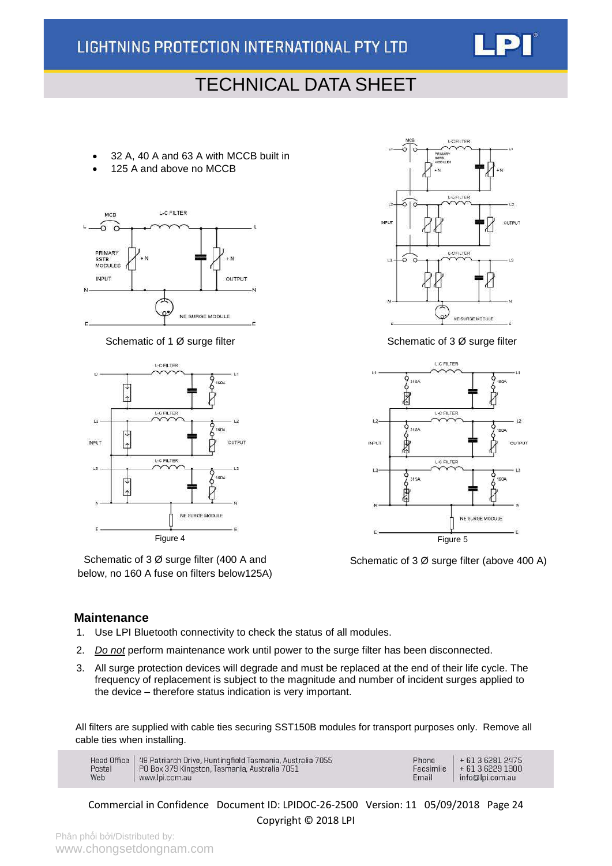

- 32 A, 40 A and 63 A with MCCB built in
- 125 A and above no MCCB





Schematic of 3 Ø surge filter (400 A and below, no 160 A fuse on filters below125A)



Schematic of 1 Ø surge filter Schematic of 3 Ø surge filter Schematic of 3 Ø surge filter



Schematic of 3 Ø surge filter (above 400 A)

#### **Maintenance**

- 1. Use LPI Bluetooth connectivity to check the status of all modules.
- 2. *Do not* perform maintenance work until power to the surge filter has been disconnected.
- 3. All surge protection devices will degrade and must be replaced at the end of their life cycle. The frequency of replacement is subject to the magnitude and number of incident surges applied to the device – therefore status indication is very important.

All filters are supplied with cable ties securing SST150B modules for transport purposes only. Remove all cable ties when installing.

| Head Office   49 Patriarch Drive, Huntingfield Tasmania, Australia 7055<br>  PO Box 379 Kingston, Tasmania, Australia 7051<br>Postal<br>Web<br>www.lpi.com.au | Phone<br>Facsimile<br>Email | $+61362812475$<br>$+61362291900$<br>info@lpi.com.au |
|---------------------------------------------------------------------------------------------------------------------------------------------------------------|-----------------------------|-----------------------------------------------------|
|---------------------------------------------------------------------------------------------------------------------------------------------------------------|-----------------------------|-----------------------------------------------------|

Commercial in Confidence Document ID: LPIDOC-26-2500 Version: 11 05/09/2018 Page 24 Copyright © 2018 LPI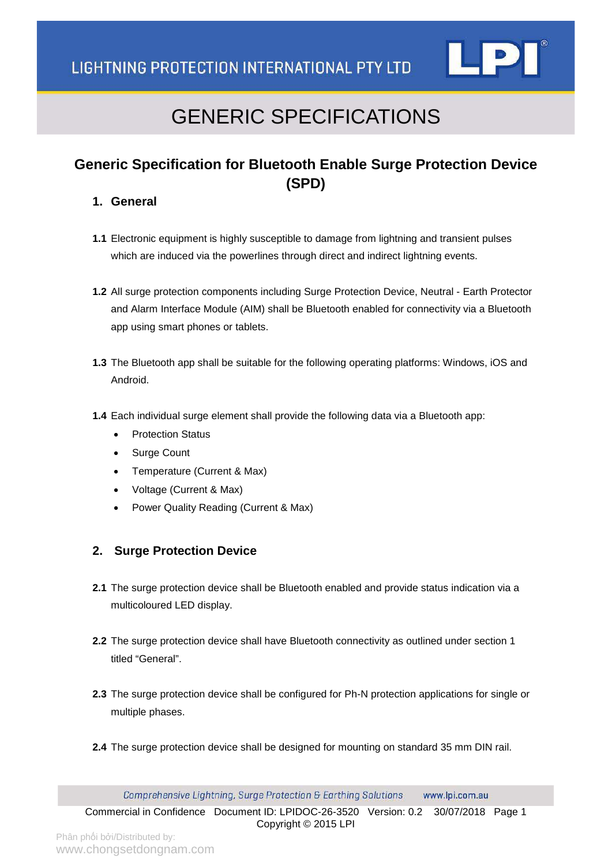

## GENERIC SPECIFICATIONS

### **Generic Specification for Bluetooth Enable Surge Protection Device (SPD)**

#### **1. General**

- **1.1** Electronic equipment is highly susceptible to damage from lightning and transient pulses which are induced via the powerlines through direct and indirect lightning events.
- **1.2** All surge protection components including Surge Protection Device, Neutral Earth Protector and Alarm Interface Module (AIM) shall be Bluetooth enabled for connectivity via a Bluetooth app using smart phones or tablets.
- **1.3** The Bluetooth app shall be suitable for the following operating platforms: Windows, iOS and Android.
- **1.4** Each individual surge element shall provide the following data via a Bluetooth app:
	- Protection Status
	- Surge Count
	- Temperature (Current & Max)
	- Voltage (Current & Max)
	- Power Quality Reading (Current & Max)

#### **2. Surge Protection Device**

- **2.1** The surge protection device shall be Bluetooth enabled and provide status indication via a multicoloured LED display.
- **2.2** The surge protection device shall have Bluetooth connectivity as outlined under section 1 titled "General".
- **2.3** The surge protection device shall be configured for Ph-N protection applications for single or multiple phases.
- **2.4** The surge protection device shall be designed for mounting on standard 35 mm DIN rail.

Comprehensive Lightning, Surge Protection & Earthing Solutions www.lpi.com.au

Commercial in Confidence Document ID: LPIDOC-26-3520 Version: 0.2 30/07/2018 Page 1 Copyright © 2015 LPI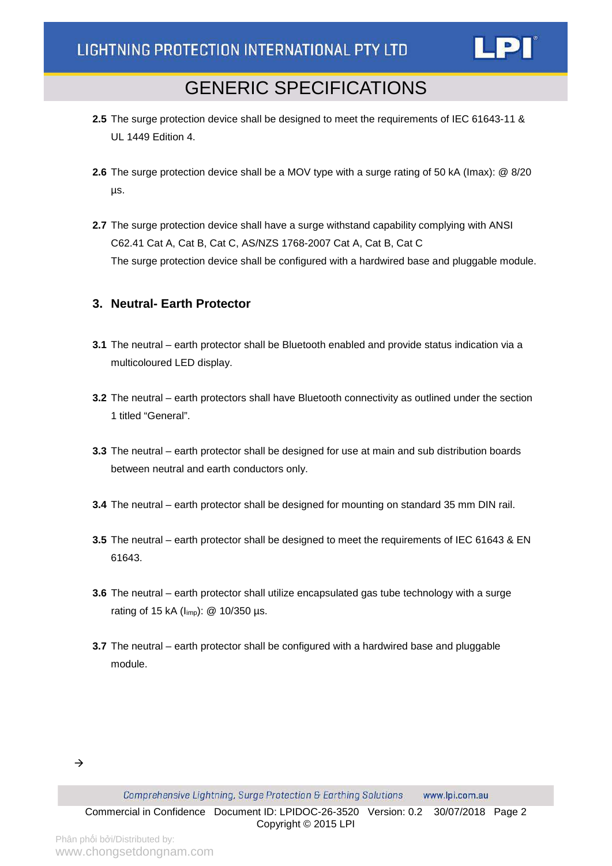

### GENERIC SPECIFICATIONS

- **2.5** The surge protection device shall be designed to meet the requirements of IEC 61643-11 & UL 1449 Edition 4.
- **2.6** The surge protection device shall be a MOV type with a surge rating of 50 kA (Imax): @ 8/20 µs.
- **2.7** The surge protection device shall have a surge withstand capability complying with ANSI C62.41 Cat A, Cat B, Cat C, AS/NZS 1768-2007 Cat A, Cat B, Cat C The surge protection device shall be configured with a hardwired base and pluggable module.

#### **3. Neutral- Earth Protector**

- **3.1** The neutral earth protector shall be Bluetooth enabled and provide status indication via a multicoloured LED display.
- **3.2** The neutral earth protectors shall have Bluetooth connectivity as outlined under the section 1 titled "General".
- **3.3** The neutral earth protector shall be designed for use at main and sub distribution boards between neutral and earth conductors only.
- **3.4** The neutral earth protector shall be designed for mounting on standard 35 mm DIN rail.
- **3.5** The neutral earth protector shall be designed to meet the requirements of IEC 61643 & EN 61643.
- **3.6** The neutral earth protector shall utilize encapsulated gas tube technology with a surge rating of 15 kA ( $I_{\text{imp}}$ ): @ 10/350 µs.
- **3.7** The neutral earth protector shall be configured with a hardwired base and pluggable module.

Comprehensive Lightning, Surge Protection & Earthing Solutions www.lpi.com.au

Commercial in Confidence Document ID: LPIDOC-26-3520 Version: 0.2 30/07/2018 Page 2 Copyright © 2015 LPI